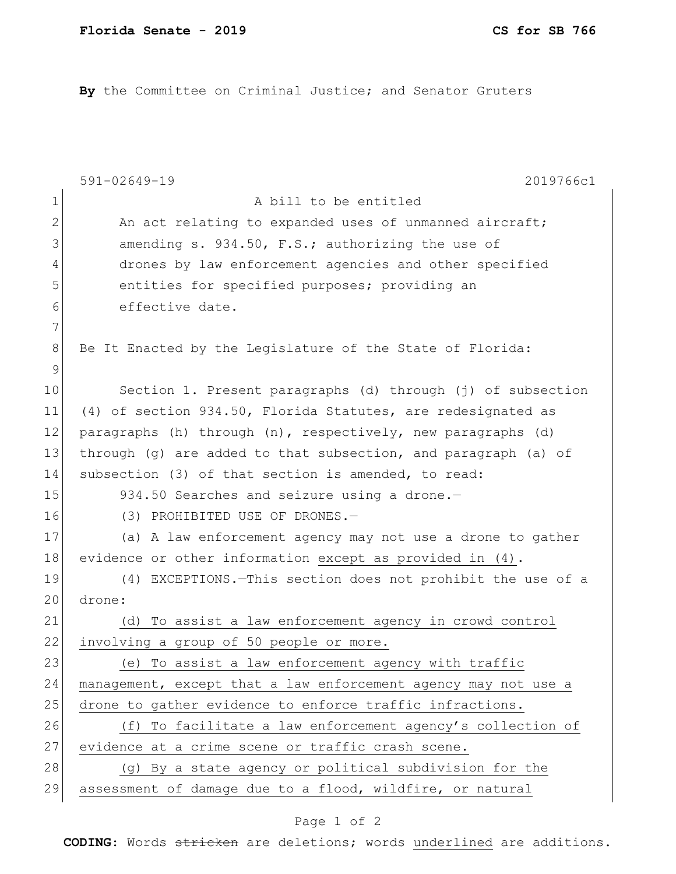**By** the Committee on Criminal Justice; and Senator Gruters

|             | $591 - 02649 - 19$<br>2019766c1                                |
|-------------|----------------------------------------------------------------|
| $\mathbf 1$ | A bill to be entitled                                          |
| 2           | An act relating to expanded uses of unmanned aircraft;         |
| 3           | amending s. 934.50, F.S.; authorizing the use of               |
| 4           | drones by law enforcement agencies and other specified         |
| 5           | entities for specified purposes; providing an                  |
| 6           | effective date.                                                |
| 7           |                                                                |
| 8           | Be It Enacted by the Legislature of the State of Florida:      |
| 9           |                                                                |
| 10          | Section 1. Present paragraphs (d) through (j) of subsection    |
| 11          | (4) of section 934.50, Florida Statutes, are redesignated as   |
| 12          | paragraphs (h) through (n), respectively, new paragraphs (d)   |
| 13          | through (g) are added to that subsection, and paragraph (a) of |
| 14          | subsection (3) of that section is amended, to read:            |
| 15          | 934.50 Searches and seizure using a drone.-                    |
| 16          | (3) PROHIBITED USE OF DRONES.-                                 |
| 17          | (a) A law enforcement agency may not use a drone to gather     |
| 18          | evidence or other information except as provided in (4).       |
| 19          | (4) EXCEPTIONS. - This section does not prohibit the use of a  |
| 20          | drone:                                                         |
| 21          | To assist a law enforcement agency in crowd control<br>(d)     |
| 22          | involving a group of 50 people or more.                        |
| 23          | To assist a law enforcement agency with traffic<br>(e)         |
| 24          | management, except that a law enforcement agency may not use a |
| 25          | drone to gather evidence to enforce traffic infractions.       |
| 26          | (f) To facilitate a law enforcement agency's collection of     |
| 27          | evidence at a crime scene or traffic crash scene.              |
| 28          | (g) By a state agency or political subdivision for the         |
| 29          | assessment of damage due to a flood, wildfire, or natural      |

## Page 1 of 2

**CODING**: Words stricken are deletions; words underlined are additions.